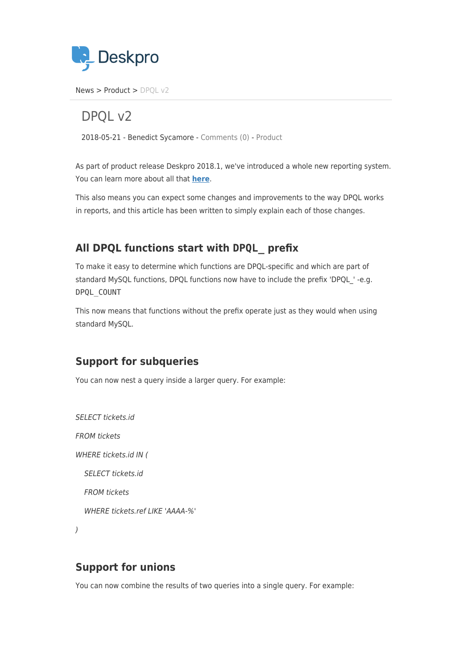

[News](https://support.deskpro.com/ro/news) > [Product](https://support.deskpro.com/ro/news/product) > DPOL v2

DPOL v<sub>2</sub>

2018-05-21 - Benedict Sycamore - [Comments \(0\)](#page--1-0) - [Product](https://support.deskpro.com/ro/news/product)

As part of product release Deskpro 2018.1, we've introduced a whole new reporting system. You can learn more about all that **[here](https://support.deskpro.com/en_GB/news/posts/new-reports-v2)**.

This also means you can expect some changes and improvements to the way DPQL works in reports, and this article has been written to simply explain each of those changes.

## **All DPQL functions start with DPQL\_ prefix**

To make it easy to determine which functions are DPQL-specific and which are part of standard MySQL functions, DPQL functions now have to include the prefix 'DPQL ' -e.g. DPQL\_COUNT

This now means that functions without the prefix operate just as they would when using standard MySQL.

## **Support for subqueries**

You can now nest a query inside a larger query. For example:

SELECT tickets.id FROM tickets WHERE tickets.id IN ( SELECT tickets.id FROM tickets WHERE tickets.ref LIKE 'AAAA-%'

)

## **Support for unions**

You can now combine the results of two queries into a single query. For example: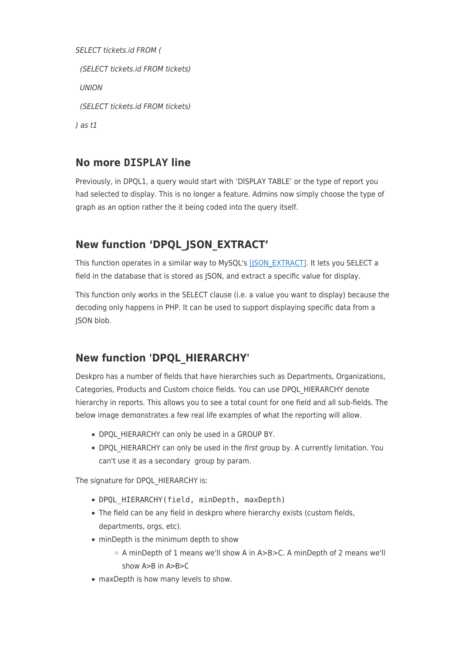```
SELECT tickets.id FROM (
  (SELECT tickets.id FROM tickets)
  UNION
  (SELECT tickets.id FROM tickets)
) as t1
```
## **No more DISPLAY line**

Previously, in DPQL1, a query would start with 'DISPLAY TABLE' or the type of report you had selected to display. This is no longer a feature. Admins now simply choose the type of graph as an option rather the it being coded into the query itself.

## **New function 'DPQL\_JSON\_EXTRACT'**

This function operates in a similar way to MySQL's [\[JSON\\_EXTRACT\].](https://dev.mysql.com/doc/refman/5.7/en/json-search-functions.html#function_json-extract) It lets you SELECT a field in the database that is stored as JSON, and extract a specific value for display.

This function only works in the SELECT clause (i.e. a value you want to display) because the decoding only happens in PHP. It can be used to support displaying specific data from a ISON blob.

# **New function 'DPQL\_HIERARCHY'**

Deskpro has a number of fields that have hierarchies such as Departments, Organizations, Categories, Products and Custom choice fields. You can use DPQL\_HIERARCHY denote hierarchy in reports. This allows you to see a total count for one field and all sub-fields. The below image demonstrates a few real life examples of what the reporting will allow.

- DPQL HIERARCHY can only be used in a GROUP BY.
- DPQL HIERARCHY can only be used in the first group by. A currently limitation. You can't use it as a secondary group by param.

The signature for DPQL\_HIERARCHY is:

- DPQL HIERARCHY(field, minDepth, maxDepth)
- The field can be any field in deskpro where hierarchy exists (custom fields, departments, orgs, etc).
- minDepth is the minimum depth to show
	- A minDepth of 1 means we'll show A in A>B>C. A minDepth of 2 means we'll show A>B in A>B>C
- maxDepth is how many levels to show.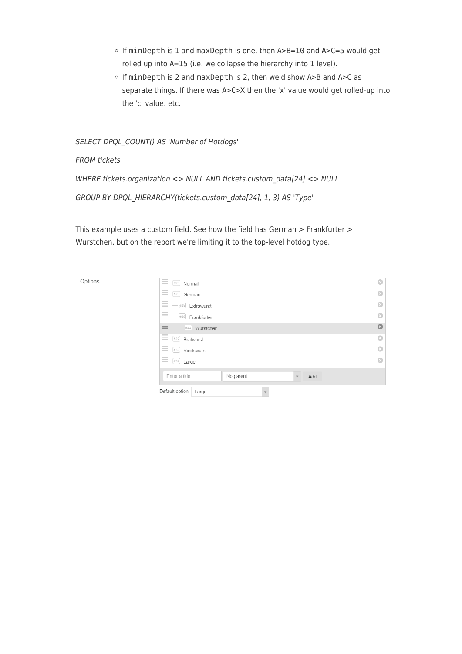- If minDepth is 1 and maxDepth is one, then A>B=10 and A>C=5 would get rolled up into A=15 (i.e. we collapse the hierarchy into 1 level).
- o If minDepth is 2 and maxDepth is 2, then we'd show A>B and A>C as separate things. If there was A>C>X then the 'x' value would get rolled-up into the 'c' value. etc.

SELECT DPQL\_COUNT() AS 'Number of Hotdogs'

FROM tickets

WHERE tickets.organization <> NULL AND tickets.custom\_data[24] <> NULL

GROUP BY DPQL\_HIERARCHY(tickets.custom\_data[24], 1, 3) AS 'Type'

This example uses a custom field. See how the field has German > Frankfurter > Wurstchen, but on the report we're limiting it to the top-level hotdog type.

Options

| $\sim$<br>$\frac{1}{2}$<br>#25<br>Normal<br>$\frac{1}{2}$                                                                                                                                                                                                                                                                                                                                                                                                                                                                              | O       |
|----------------------------------------------------------------------------------------------------------------------------------------------------------------------------------------------------------------------------------------------------------------------------------------------------------------------------------------------------------------------------------------------------------------------------------------------------------------------------------------------------------------------------------------|---------|
| $\frac{1}{2}$<br>$\sim$<br>#26<br>German<br>$\sim$                                                                                                                                                                                                                                                                                                                                                                                                                                                                                     | G       |
| $\frac{1}{2}$<br>$\overline{\phantom{a}}$<br>#28<br>Extrawurst<br>$\overline{\phantom{a}}$                                                                                                                                                                                                                                                                                                                                                                                                                                             | a       |
| $\sim$<br>$\overline{\phantom{a}}$<br>#29<br>Frankfurter<br>$\frac{1}{2} \left( \frac{1}{2} \right) \left( \frac{1}{2} \right) \left( \frac{1}{2} \right) \left( \frac{1}{2} \right) \left( \frac{1}{2} \right) \left( \frac{1}{2} \right) \left( \frac{1}{2} \right) \left( \frac{1}{2} \right) \left( \frac{1}{2} \right) \left( \frac{1}{2} \right) \left( \frac{1}{2} \right) \left( \frac{1}{2} \right) \left( \frac{1}{2} \right) \left( \frac{1}{2} \right) \left( \frac{1}{2} \right) \left( \frac{1}{2} \right) \left( \frac$ | G       |
| $\overline{\phantom{a}}$<br>$\overline{\phantom{a}}$<br>#31<br>Würstchen<br>_                                                                                                                                                                                                                                                                                                                                                                                                                                                          | $\odot$ |
| $\frac{1}{2}$<br>$\sim$<br>#27<br>Bratwurst<br>$\overline{\phantom{a}}$                                                                                                                                                                                                                                                                                                                                                                                                                                                                | $\odot$ |
| $\sim$<br>$\sim$<br>#30<br>Rindswurst<br>$\frac{1}{2}$                                                                                                                                                                                                                                                                                                                                                                                                                                                                                 | o       |
| $\frac{1}{2}$<br>$\frac{1}{2} \left( \frac{1}{2} \right) \left( \frac{1}{2} \right) \left( \frac{1}{2} \right) \left( \frac{1}{2} \right) \left( \frac{1}{2} \right) \left( \frac{1}{2} \right) \left( \frac{1}{2} \right) \left( \frac{1}{2} \right) \left( \frac{1}{2} \right) \left( \frac{1}{2} \right) \left( \frac{1}{2} \right) \left( \frac{1}{2} \right) \left( \frac{1}{2} \right) \left( \frac{1}{2} \right) \left( \frac{1}{2} \right) \left( \frac{1}{2} \right) \left( \frac$<br>#32<br>Large<br>$\equiv$                | G       |
| Enter a title<br>No parent<br>Add<br>$\overline{\mathbf v}$                                                                                                                                                                                                                                                                                                                                                                                                                                                                            |         |
| Default option:<br>Large<br>$\mathbf{v}$                                                                                                                                                                                                                                                                                                                                                                                                                                                                                               |         |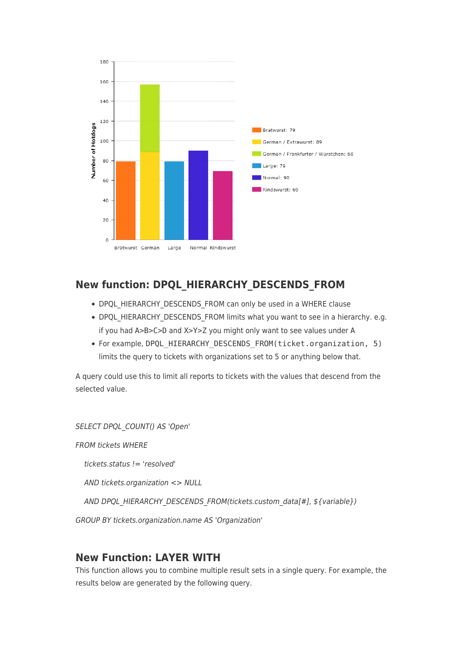

## **New function: DPQL\_HIERARCHY\_DESCENDS\_FROM**

- DPQL HIERARCHY DESCENDS FROM can only be used in a WHERE clause
- DPQL HIERARCHY DESCENDS FROM limits what you want to see in a hierarchy. e.g. if you had A>B>C>D and X>Y>Z you might only want to see values under A
- For example, DPQL HIERARCHY DESCENDS FROM(ticket.organization, 5) limits the query to tickets with organizations set to 5 or anything below that.

A query could use this to limit all reports to tickets with the values that descend from the selected value.

SELECT DPQL\_COUNT() AS 'Open' FROM tickets WHERE tickets.status != 'resolved' AND tickets.organization <> NULL AND DPQL\_HIERARCHY\_DESCENDS\_FROM(tickets.custom\_data[#], \${variable}) GROUP BY tickets.organization.name AS 'Organization'

## **New Function: LAYER WITH**

This function allows you to combine multiple result sets in a single query. For example, the results below are generated by the following query.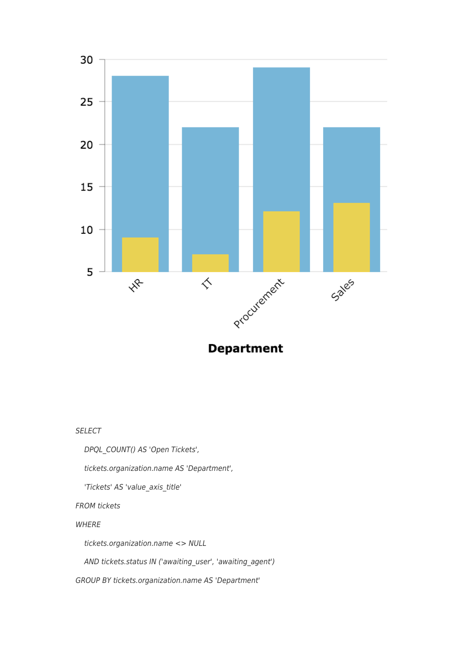

**Department** 

SELECT

DPQL\_COUNT() AS 'Open Tickets',

tickets.organization.name AS 'Department',

'Tickets' AS 'value\_axis\_title'

FROM tickets

**WHERE** 

tickets.organization.name <> NULL

AND tickets.status IN ('awaiting\_user', 'awaiting\_agent')

GROUP BY tickets.organization.name AS 'Department'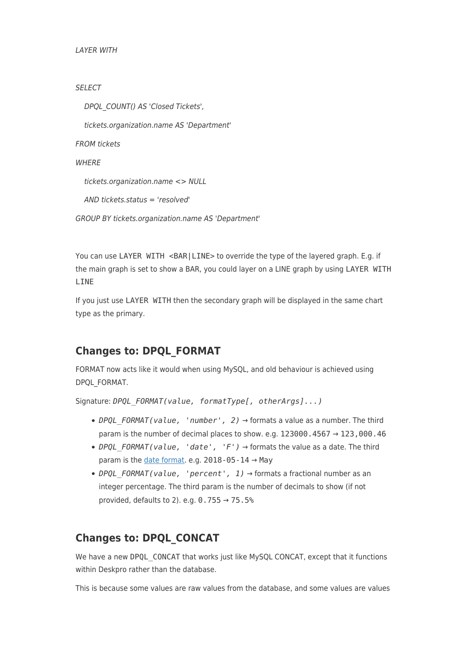```
LAYER WITH
```

```
SELECT
```
 DPQL\_COUNT() AS 'Closed Tickets', tickets.organization.name AS 'Department' FROM tickets **WHFRF**  tickets.organization.name <> NULL AND tickets.status = 'resolved' GROUP BY tickets.organization.name AS 'Department'

You can use LAYER WITH <BAR|LINE> to override the type of the layered graph. E.g. if the main graph is set to show a BAR, you could layer on a LINE graph by using LAYER WITH LINE

If you just use LAYER WITH then the secondary graph will be displayed in the same chart type as the primary.

## **Changes to: DPQL\_FORMAT**

FORMAT now acts like it would when using MySQL, and old behaviour is achieved using DPQL\_FORMAT.

Signature: *DPQL\_FORMAT(value, formatType[, otherArgs]...)*

- *DPQL\_FORMAT(value, 'number', 2)* → formats a value as a number. The third param is the number of decimal places to show. e.g. 123000.4567  $\rightarrow$  123,000.46
- DPOL FORMAT(value, 'date', 'F')  $\rightarrow$  formats the value as a date. The third param is the [date format.](http://php.net/manual/en/function.date.php) e.g.  $2018 - 05 - 14 \rightarrow$  May
- *DPQL\_FORMAT(value, 'percent', 1)* → formats a fractional number as an integer percentage. The third param is the number of decimals to show (if not provided, defaults to 2). e.g.  $0.755 \rightarrow 75.5$ %

## **Changes to: DPQL\_CONCAT**

We have a new DPQL CONCAT that works just like MySQL CONCAT, except that it functions within Deskpro rather than the database.

This is because some values are raw values from the database, and some values are values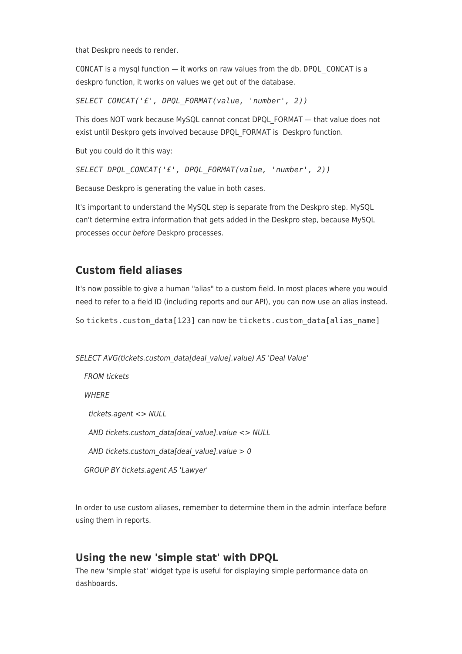that Deskpro needs to render.

CONCAT is a mysql function — it works on raw values from the db. DPQL\_CONCAT is a deskpro function, it works on values we get out of the database.

*SELECT CONCAT('£', DPQL\_FORMAT(value, 'number', 2))*

This does NOT work because MySQL cannot concat DPQL\_FORMAT — that value does not exist until Deskpro gets involved because DPQL\_FORMAT is Deskpro function.

But you could do it this way:

*SELECT DPQL\_CONCAT('£', DPQL\_FORMAT(value, 'number', 2))*

Because Deskpro is generating the value in both cases.

It's important to understand the MySQL step is separate from the Deskpro step. MySQL can't determine extra information that gets added in the Deskpro step, because MySQL processes occur before Deskpro processes.

#### **Custom field aliases**

It's now possible to give a human "alias" to a custom field. In most places where you would need to refer to a field ID (including reports and our API), you can now use an alias instead.

So tickets.custom\_data[123] can now be tickets.custom\_data[alias\_name]

SELECT AVG(tickets.custom\_data[deal\_value].value) AS 'Deal Value'

 FROM tickets **WHERE**  tickets.agent <> NULL AND tickets.custom\_data[deal\_value].value <> NULL AND tickets.custom\_data[deal\_value].value  $> 0$ GROUP BY tickets.agent AS 'Lawyer'

In order to use custom aliases, remember to determine them in the admin interface before using them in reports.

#### **Using the new 'simple stat' with DPQL**

The new 'simple stat' widget type is useful for displaying simple performance data on dashboards.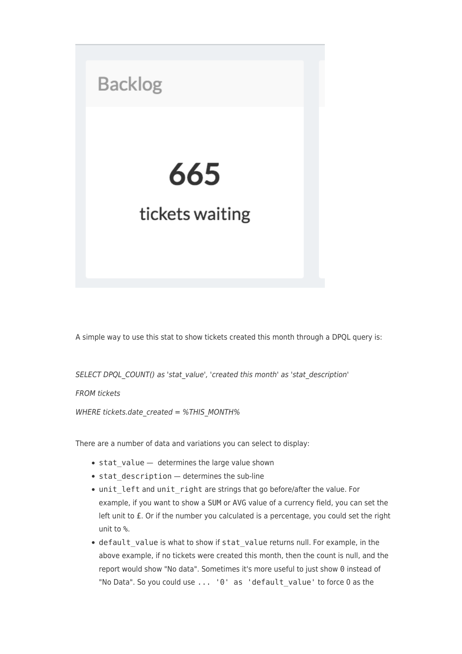

A simple way to use this stat to show tickets created this month through a DPQL query is:

SELECT DPQL COUNT() as 'stat value', 'created this month' as 'stat description'

FROM tickets

WHERE tickets.date created = %THIS MONTH%

There are a number of data and variations you can select to display:

- stat value determines the large value shown
- $\bullet$  stat description determines the sub-line
- unit left and unit right are strings that go before/after the value. For example, if you want to show a SUM or AVG value of a currency field, you can set the left unit to £. Or if the number you calculated is a percentage, you could set the right unit to %.
- default value is what to show if stat value returns null. For example, in the above example, if no tickets were created this month, then the count is null, and the report would show "No data". Sometimes it's more useful to just show 0 instead of "No Data". So you could use ... '0' as 'default\_value' to force 0 as the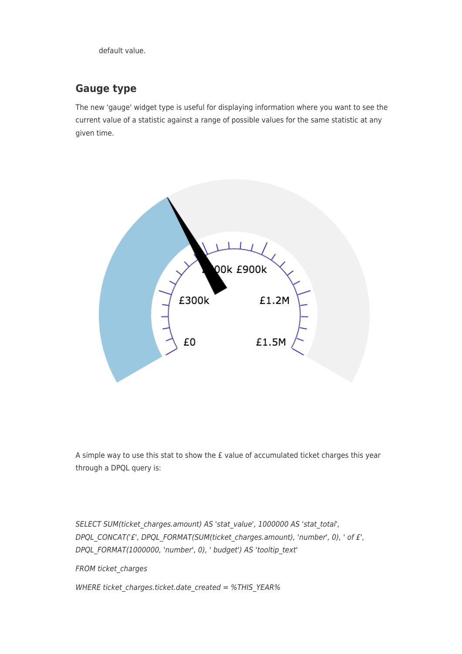default value.

## **Gauge type**

The new 'gauge' widget type is useful for displaying information where you want to see the current value of a statistic against a range of possible values for the same statistic at any given time.



A simple way to use this stat to show the £ value of accumulated ticket charges this year through a DPQL query is:

SELECT SUM(ticket charges.amount) AS 'stat value', 1000000 AS 'stat total', DPQL\_CONCAT('£', DPQL\_FORMAT(SUM(ticket\_charges.amount), 'number', 0), ' of £', DPQL\_FORMAT(1000000, 'number', 0), ' budget') AS 'tooltip\_text'

FROM ticket charges

WHERE ticket charges.ticket.date created = %THIS\_YEAR%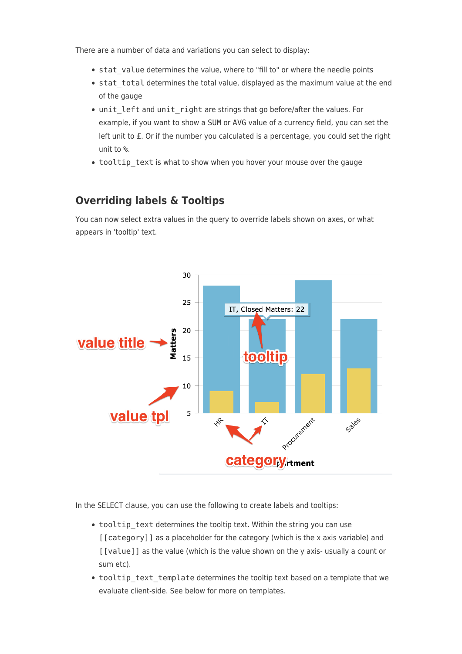There are a number of data and variations you can select to display:

- stat value determines the value, where to "fill to" or where the needle points
- stat total determines the total value, displayed as the maximum value at the end of the gauge
- unit\_left and unit\_right are strings that go before/after the values. For example, if you want to show a SUM or AVG value of a currency field, you can set the left unit to £. Or if the number you calculated is a percentage, you could set the right unit to %.
- tooltip\_text is what to show when you hover your mouse over the gauge

#### **Overriding labels & Tooltips**

You can now select extra values in the query to override labels shown on axes, or what appears in 'tooltip' text.



In the SELECT clause, you can use the following to create labels and tooltips:

- tooltip text determines the tooltip text. Within the string you can use [[category]] as a placeholder for the category (which is the x axis variable) and [[value]] as the value (which is the value shown on the y axis- usually a count or sum etc).
- tooltip text template determines the tooltip text based on a template that we evaluate client-side. See below for more on templates.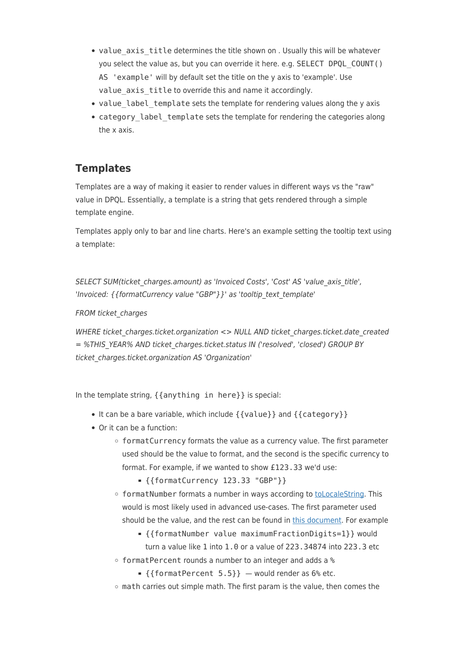- value axis title determines the title shown on . Usually this will be whatever you select the value as, but you can override it here. e.g. SELECT DPQL\_COUNT() AS 'example' will by default set the title on the y axis to 'example'. Use value axis title to override this and name it accordingly.
- value label template sets the template for rendering values along the y axis
- category label template sets the template for rendering the categories along the x axis.

## **Templates**

Templates are a way of making it easier to render values in different ways vs the "raw" value in DPQL. Essentially, a template is a string that gets rendered through a simple template engine.

Templates apply only to bar and line charts. Here's an example setting the tooltip text using a template:

SELECT SUM(ticket charges.amount) as 'Invoiced Costs', 'Cost' AS 'value axis title', 'Invoiced: { {formatCurrency value "GBP"} }' as 'tooltip text template'

#### FROM ticket charges

WHERE ticket charges.ticket.organization <> NULL AND ticket charges.ticket.date created = %THIS\_YEAR% AND ticket\_charges.ticket.status IN ('resolved', 'closed') GROUP BY ticket charges.ticket.organization AS 'Organization'

In the template string, {{anything in here}} is special:

- It can be a bare variable, which include  $\{ \{ value \} \}$  and  $\{ \{ Categorical \} \}$
- Or it can be a function:
	- formatCurrency formats the value as a currency value. The first parameter used should be the value to format, and the second is the specific currency to format. For example, if we wanted to show £123.33 we'd use:
		- {{formatCurrency 123.33 "GBP"}}
	- o formatNumber formats a number in ways according to [toLocaleString](https://developer.mozilla.org/en-US/docs/Web/JavaScript/Reference/Global_Objects/Number/toLocaleString). This would is most likely used in advanced use-cases. The first parameter used should be the value, and the rest can be found in [this document](https://developer.mozilla.org/en-US/docs/Web/JavaScript/Reference/Global_Objects/Number/toLocaleString). For example
		- {{formatNumber value maximumFractionDigits=1}} would turn a value like 1 into 1.0 or a value of 223.34874 into 223.3 etc
	- formatPercent rounds a number to an integer and adds a %
		- $\textsf{I}$  {{formatPercent 5.5}} would render as 6% etc.
	- math carries out simple math. The first param is the value, then comes the